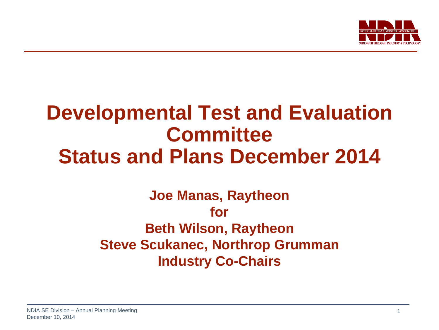

## **Developmental Test and Evaluation Committee Status and Plans December 2014**

## **Joe Manas, Raytheon for Beth Wilson, Raytheon Steve Scukanec, Northrop Grumman Industry Co-Chairs**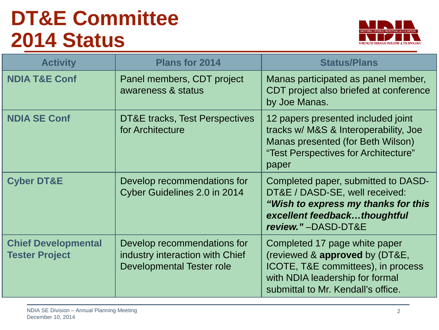# **DT&E Committee 2014 Status**



| <b>Activity</b>                                     | <b>Plans for 2014</b>                                                                       | <b>Status/Plans</b>                                                                                                                                                            |  |  |
|-----------------------------------------------------|---------------------------------------------------------------------------------------------|--------------------------------------------------------------------------------------------------------------------------------------------------------------------------------|--|--|
| <b>NDIA T&amp;E Conf</b>                            | Panel members, CDT project<br>awareness & status                                            | Manas participated as panel member,<br>CDT project also briefed at conference<br>by Joe Manas.                                                                                 |  |  |
| <b>NDIA SE Conf</b>                                 | <b>DT&amp;E</b> tracks, Test Perspectives<br>for Architecture                               | 12 papers presented included joint<br>tracks w/ M&S & Interoperability, Joe<br>Manas presented (for Beth Wilson)<br>"Test Perspectives for Architecture"<br>paper              |  |  |
| <b>Cyber DT&amp;E</b>                               | Develop recommendations for<br>Cyber Guidelines 2.0 in 2014                                 | Completed paper, submitted to DASD-<br>DT&E / DASD-SE, well received:<br>"Wish to express my thanks for this<br>excellent feedbackthoughtful<br>review."-DASD-DT&E             |  |  |
| <b>Chief Developmental</b><br><b>Tester Project</b> | Develop recommendations for<br>industry interaction with Chief<br>Developmental Tester role | Completed 17 page white paper<br>(reviewed & approved by (DT&E,<br>ICOTE, T&E committees), in process<br>with NDIA leadership for formal<br>submittal to Mr. Kendall's office. |  |  |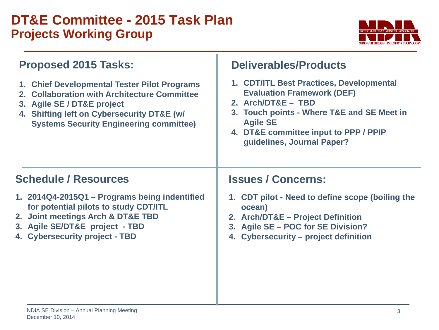## **DT&E Committee - 2015 Task Plan Projects Working Group**



| <b>Proposed 2015 Tasks:</b><br>1. Chief Developmental Tester Pilot Programs<br>2. Collaboration with Architecture Committee<br>3. Agile SE / DT&E project<br>4. Shifting left on Cybersecurity DT&E (w/<br><b>Systems Security Engineering committee)</b> | <b>Deliverables/Products</b><br>1. CDT/ITL Best Practices, Developmental<br><b>Evaluation Framework (DEF)</b><br>2. Arch/DT&E - TBD<br>3. Touch points - Where T&E and SE Meet in<br><b>Agile SE</b><br>4. DT&E committee input to PPP / PPIP<br>guidelines, Journal Paper? |  |  |
|-----------------------------------------------------------------------------------------------------------------------------------------------------------------------------------------------------------------------------------------------------------|-----------------------------------------------------------------------------------------------------------------------------------------------------------------------------------------------------------------------------------------------------------------------------|--|--|
| <b>Schedule / Resources</b>                                                                                                                                                                                                                               | <b>Issues / Concerns:</b>                                                                                                                                                                                                                                                   |  |  |
| 1. 2014Q4-2015Q1 - Programs being indentified<br>for potential pilots to study CDT/ITL<br>2. Joint meetings Arch & DT&E TBD<br>3. Agile SE/DT&E project - TBD<br>4. Cybersecurity project - TBD                                                           | 1. CDT pilot - Need to define scope (boiling the<br>ocean)<br>2. Arch/DT&E - Project Definition<br>3. Agile SE - POC for SE Division?<br>4. Cybersecurity – project definition                                                                                              |  |  |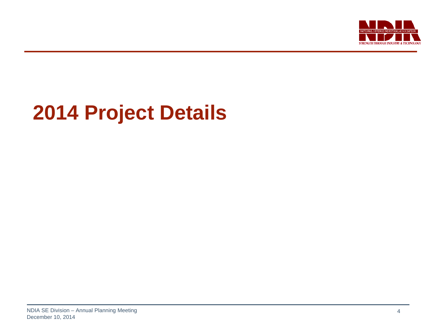

# **2014 Project Details**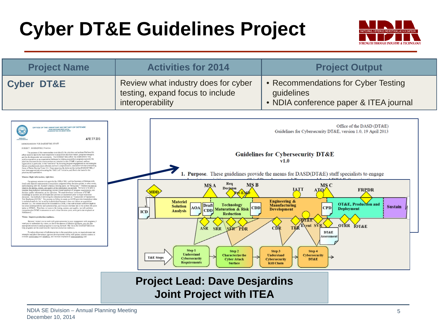# **Cyber DT&E Guidelines Project**



| <b>Project Name</b>                                                                                                                                                                                                                                                                                                                                                                                                                                                                                                                                                                                                                                                                                                                                                                                                                                                                                                                                                                                                                                                                                                                                                                                                                                                                                                                                                                                                                                                                                                                                                                                                                                                                                                                                                                                                                                                                                                                                                                                                                                                                                                                                                                                                                                                                                                                                                                                                                                                                                                                                                                                                                                                                                                                                                                                                                                                                                                                                                                                                                                                                                                                                                                                                                         | <b>Activities for 2014</b>                                                                                                                                                                                                                                                                                                                    | <b>Project Output</b>                                                                                                                                                                                                                                                                                                                                                                                                                                                                                                                                                                                                |  |  |
|---------------------------------------------------------------------------------------------------------------------------------------------------------------------------------------------------------------------------------------------------------------------------------------------------------------------------------------------------------------------------------------------------------------------------------------------------------------------------------------------------------------------------------------------------------------------------------------------------------------------------------------------------------------------------------------------------------------------------------------------------------------------------------------------------------------------------------------------------------------------------------------------------------------------------------------------------------------------------------------------------------------------------------------------------------------------------------------------------------------------------------------------------------------------------------------------------------------------------------------------------------------------------------------------------------------------------------------------------------------------------------------------------------------------------------------------------------------------------------------------------------------------------------------------------------------------------------------------------------------------------------------------------------------------------------------------------------------------------------------------------------------------------------------------------------------------------------------------------------------------------------------------------------------------------------------------------------------------------------------------------------------------------------------------------------------------------------------------------------------------------------------------------------------------------------------------------------------------------------------------------------------------------------------------------------------------------------------------------------------------------------------------------------------------------------------------------------------------------------------------------------------------------------------------------------------------------------------------------------------------------------------------------------------------------------------------------------------------------------------------------------------------------------------------------------------------------------------------------------------------------------------------------------------------------------------------------------------------------------------------------------------------------------------------------------------------------------------------------------------------------------------------------------------------------------------------------------------------------------------------|-----------------------------------------------------------------------------------------------------------------------------------------------------------------------------------------------------------------------------------------------------------------------------------------------------------------------------------------------|----------------------------------------------------------------------------------------------------------------------------------------------------------------------------------------------------------------------------------------------------------------------------------------------------------------------------------------------------------------------------------------------------------------------------------------------------------------------------------------------------------------------------------------------------------------------------------------------------------------------|--|--|
| <b>Cyber DT&amp;E</b>                                                                                                                                                                                                                                                                                                                                                                                                                                                                                                                                                                                                                                                                                                                                                                                                                                                                                                                                                                                                                                                                                                                                                                                                                                                                                                                                                                                                                                                                                                                                                                                                                                                                                                                                                                                                                                                                                                                                                                                                                                                                                                                                                                                                                                                                                                                                                                                                                                                                                                                                                                                                                                                                                                                                                                                                                                                                                                                                                                                                                                                                                                                                                                                                                       | Review what industry does for cyber<br>testing, expand focus to include<br>interoperability                                                                                                                                                                                                                                                   | • Recommendations for Cyber Testing<br>guidelines<br>• NDIA conference paper & ITEA journal                                                                                                                                                                                                                                                                                                                                                                                                                                                                                                                          |  |  |
| OFFICE OF THE ASSISTANT SECRETARY OF DEFENSE<br>3030 DEFENSE PENTAGON<br>WASHINGTON, DC 20301-303<br>APR 19 2013<br>MEMORANDUM FOR DASD(DT&E) STAFF<br>SUBJECT: DASD(DT&E) Priorities<br>The purpose of this memorandum is to identify the priorities and actions I believe this<br>office needs to take to be more responsive to acquisition decision makers, program managers,<br>and the developmental test community. The DASD(DT&E) office has established a very<br>positive reputation as an organization dedicated to helping acquisition programs succeed; the<br>priorities discussed in this memorandum are intended to take DT&E in general, and our<br>organization in particular, to the "next level" by focusing program engagement on test strategies<br>that are simultaneously more efficient and more comprehensive, consistent with the overacching<br>theme of Better Buying Power 2.0. Since assuming the duties as the Acting DASD(DT&E), I<br>have been aggressively advocating the "Shift Left" initiative, and that is the basis for the<br>priorities discussed below.<br>Mission: Right information, right time.<br>Our primary mission is to provide the USD(AT&L) and the Secretary of Defense with<br>timely and objective assessments of acquisition programs at key decision points; in other words,<br>and in keeping with Mr. Kendall's famous Deming quote, we "bring data." I believe we have to<br>improve the timing, content, and quality of the information we provide. We have to be able to<br>translate deep technical understanding, across a broad spectrum of program requirements, into<br>decision quality information, at the right time. We must develop a continuum of DT&E<br>knowledge as systems are developed and provide our assessment prior to major milestone<br>decisions. Our method of delivering this information has been an "Assessment of Operational<br>Test Readiness (AOTR)." The process we follow to create an AOTR provides tremendous value<br>in technical analysis, but its utility is diminished because it does not inform an acquisition<br>decision (i.e., the content should be discussed in a DAB), it has not included sufficient death in<br>key areas (interoperability and cybersecurity), and it occurs one time late in the system life cycle<br>(prior to IOT&E). Therefore, to improve the timing, content, and quality, we will publish a<br>comprehensive DT&E Assessment at each critical decision point, with particular emphasis at<br>Milestone C.<br>Vision: Improve production readiness.<br>Because I expect you to work with great autonomy in your engagement with programs, I<br>want you to understand my vision, so that in the absence of detailed guidance, you can take<br>appropriate actions to assist programs in moving forward. My vision for DASO(DT&E) is so<br>help programs set the conditions for improved production readiness.<br>To reduce discovery of deficiencies late in the acquisition cycle, we must advocate test<br>strategies and plans that ensure rigorous developmental testing with greater mission controt to<br>evaluate performance and reliability, and increase emphasis on interoperability and | Req<br><b>MSB</b><br>MS A<br><b>Decision</b><br>MDD<br><b>Materiel</b><br>Draft<br>Technology<br><b>Solution</b><br><b>AOA</b><br><b>CDD</b><br><b>CDD</b> Maturation & Risk<br><b>Analysis</b><br>ICD<br><b>Reduction</b><br>ASR.<br>SRR SER PDR<br>Step 1<br>Step 2<br><b>Understand</b><br><b>Characterize the</b><br><b>T&amp;E Steps</b> | Office of the DASD (DT&E)<br>Guidelines for Cybersecurity DT&E, version 1.0, 19 April 2013<br><b>Guidelines for Cybersecurity DT&amp;E</b><br>v1.0<br>Purpose. These guidelines provide the means for DASD(DT&E) staff specialists to engage<br>MS C<br>IATT<br><b>FRPDR</b><br><b>Engineering &amp;</b><br><b>OT&amp;E</b> , Production and<br><b>Manufacturing</b><br><b>Sustain</b><br><b>CPD</b><br><b>Deployment</b><br><b>Development</b><br><b>DT&amp;E</b><br>OTRR TOT&E<br><b>Event SVR</b><br>TRR<br>CĎR<br><b>DT&amp;E</b><br>Assessment<br>Step 3<br>Step 4<br><b>Understand</b><br><b>Cybersecurity</b> |  |  |

#### **Project Lead: Dave Desjardins Joint Project with ITEA**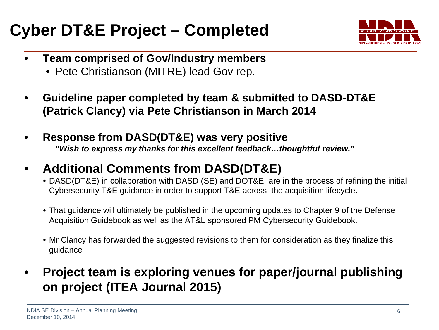## **Cyber DT&E Project – Completed**



- **Team comprised of Gov/Industry members**
	- Pete Christianson (MITRE) lead Gov rep.
- **Guideline paper completed by team & submitted to DASD-DT&E (Patrick Clancy) via Pete Christianson in March 2014**
- **Response from DASD(DT&E) was very positive** *"Wish to express my thanks for this excellent feedback…thoughtful review."*
- **Additional Comments from DASD(DT&E)**
	- DASD(DT&E) in collaboration with DASD (SE) and DOT&E are in the process of refining the initial Cybersecurity T&E guidance in order to support T&E across the acquisition lifecycle.
	- That guidance will ultimately be published in the upcoming updates to Chapter 9 of the Defense Acquisition Guidebook as well as the AT&L sponsored PM Cybersecurity Guidebook.
	- Mr Clancy has forwarded the suggested revisions to them for consideration as they finalize this guidance
- **Project team is exploring venues for paper/journal publishing on project (ITEA Journal 2015)**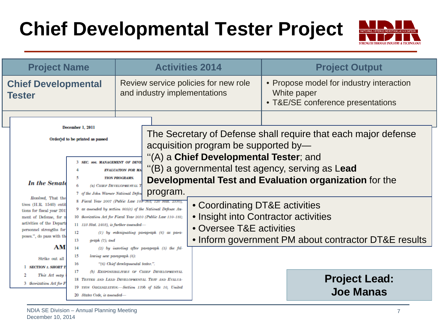# **Chief Developmental Tester Project**



| <b>Project Name</b>                                                                                                                                                                                                                                   |                                                                                                                                                                                                                                                                                                                                                                                                                                                              | <b>Activities 2014</b>                                                                                               |                                                                                                                  | <b>Project Output</b>                                                                                                                                                                                                                    |                                                                                                                                                                                  |  |
|-------------------------------------------------------------------------------------------------------------------------------------------------------------------------------------------------------------------------------------------------------|--------------------------------------------------------------------------------------------------------------------------------------------------------------------------------------------------------------------------------------------------------------------------------------------------------------------------------------------------------------------------------------------------------------------------------------------------------------|----------------------------------------------------------------------------------------------------------------------|------------------------------------------------------------------------------------------------------------------|------------------------------------------------------------------------------------------------------------------------------------------------------------------------------------------------------------------------------------------|----------------------------------------------------------------------------------------------------------------------------------------------------------------------------------|--|
| <b>Chief Developmental</b><br><b>Tester</b>                                                                                                                                                                                                           |                                                                                                                                                                                                                                                                                                                                                                                                                                                              |                                                                                                                      | Review service policies for new role<br>and industry implementations                                             |                                                                                                                                                                                                                                          | • Propose model for industry interaction<br>White paper<br>• T&E/SE conference presentations                                                                                     |  |
| <b>In the Senate</b><br>Resolved, That the<br>tives $(H.R. 1540)$ entit<br>tions for fiscal year 201<br>of Defense, for n<br>ment<br>activities of the Departi<br>personnel strengths for<br>poses.", do pass with the<br><b>AM</b><br>Strike out all | December 1, 2011<br>Ordered to be printed as passed<br>3 SEC. 806. MANAGEMENT OF DEVE<br>5<br>6<br>7 of the John Warner National Defen<br>8 Fiscal Year 2007 (Public Law 109-364; 120 Stat. 2330),<br>9 as amended by section 805(c) of the National Defense Au-<br>10 thorization Act for Fiscal Year 2010 (Public Law 110-181;<br>$11$ 123 Stat. 2403), is further amended-<br>12<br>13<br>$graph(7)$ ; and<br>14<br>15<br>lowing new paragraph (6):<br>16 | <b>EVALUATION FOR MA</b><br><b>TION PROGRAMS.</b><br>(a) CHIEF DEVELOPMENTAL T<br>"(6) Chief developmental tester.". | program.<br>$(1)$ by redesignating paragraph $(6)$ as para-<br>$(2)$ by inserting after paragraph $(5)$ the fol- | acquisition program be supported by-<br>"(A) a Chief Developmental Tester; and<br>"(B) a governmental test agency, serving as Lead<br>• Coordinating DT&E activities<br>• Insight into Contractor activities<br>• Oversee T&E activities | The Secretary of Defense shall require that each major defense<br>Developmental Test and Evaluation organization for the<br>• Inform government PM about contractor DT&E results |  |
| <b>SECTION 1. SHORT T</b><br>This Act may<br>3 thorization Act for F                                                                                                                                                                                  | 17<br>18 TESTER AND LEAD DEVELOPMENTAL TEST AND EVALUA-<br>19 TION ORGANIZATION.-Section 139b of title 10, United<br>20 States Code, is amended-                                                                                                                                                                                                                                                                                                             |                                                                                                                      | (b) RESPONSIBILITIES OF CHIEF DEVELOPMENTAL                                                                      |                                                                                                                                                                                                                                          | <b>Project Lead:</b><br><b>Joe Manas</b>                                                                                                                                         |  |